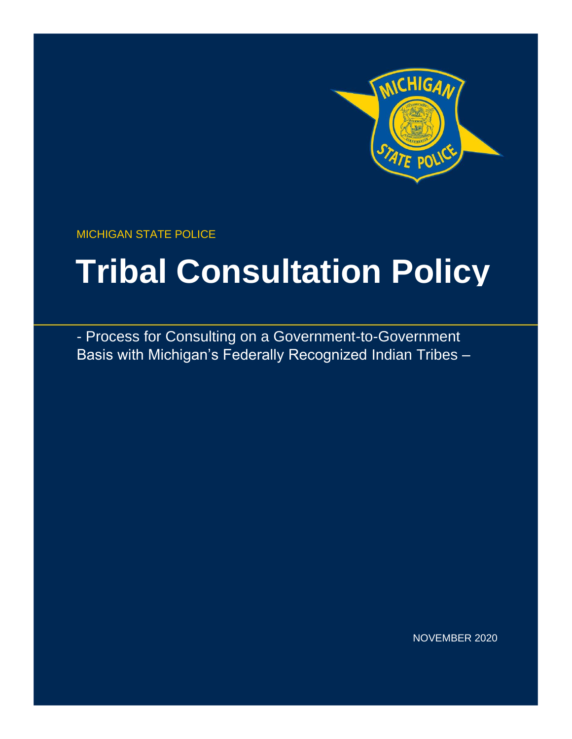

MICHIGAN STATE POLICE

# **Tribal Consultation Policy**

- Process for Consulting on a Government-to-Government Basis with Michigan's Federally Recognized Indian Tribes –

NOVEMBER 2020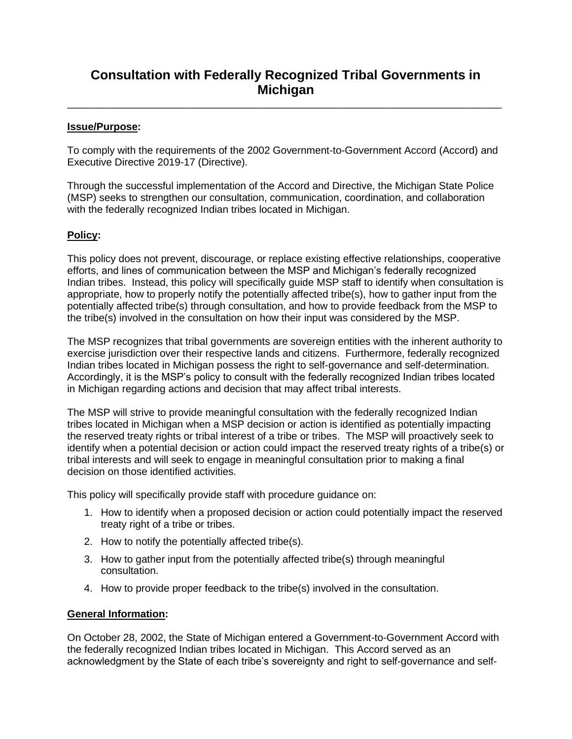## **Consultation with Federally Recognized Tribal Governments in Michigan**

\_\_\_\_\_\_\_\_\_\_\_\_\_\_\_\_\_\_\_\_\_\_\_\_\_\_\_\_\_\_\_\_\_\_\_\_\_\_\_\_\_\_\_\_\_\_\_\_\_\_\_\_\_\_\_\_\_\_\_\_\_\_\_\_\_\_\_\_\_\_\_\_\_\_\_\_

#### **Issue/Purpose:**

To comply with the requirements of the 2002 Government-to-Government Accord (Accord) and Executive Directive 2019-17 (Directive).

Through the successful implementation of the Accord and Directive, the Michigan State Police (MSP) seeks to strengthen our consultation, communication, coordination, and collaboration with the federally recognized Indian tribes located in Michigan.

#### **Policy:**

This policy does not prevent, discourage, or replace existing effective relationships, cooperative efforts, and lines of communication between the MSP and Michigan's federally recognized Indian tribes. Instead, this policy will specifically guide MSP staff to identify when consultation is appropriate, how to properly notify the potentially affected tribe(s), how to gather input from the potentially affected tribe(s) through consultation, and how to provide feedback from the MSP to the tribe(s) involved in the consultation on how their input was considered by the MSP.

The MSP recognizes that tribal governments are sovereign entities with the inherent authority to exercise jurisdiction over their respective lands and citizens. Furthermore, federally recognized Indian tribes located in Michigan possess the right to self-governance and self-determination. Accordingly, it is the MSP's policy to consult with the federally recognized Indian tribes located in Michigan regarding actions and decision that may affect tribal interests.

The MSP will strive to provide meaningful consultation with the federally recognized Indian tribes located in Michigan when a MSP decision or action is identified as potentially impacting the reserved treaty rights or tribal interest of a tribe or tribes. The MSP will proactively seek to identify when a potential decision or action could impact the reserved treaty rights of a tribe(s) or tribal interests and will seek to engage in meaningful consultation prior to making a final decision on those identified activities.

This policy will specifically provide staff with procedure guidance on:

- 1. How to identify when a proposed decision or action could potentially impact the reserved treaty right of a tribe or tribes.
- 2. How to notify the potentially affected tribe(s).
- 3. How to gather input from the potentially affected tribe(s) through meaningful consultation.
- 4. How to provide proper feedback to the tribe(s) involved in the consultation.

#### **General Information:**

On October 28, 2002, the State of Michigan entered a Government-to-Government Accord with the federally recognized Indian tribes located in Michigan. This Accord served as an acknowledgment by the State of each tribe's sovereignty and right to self-governance and self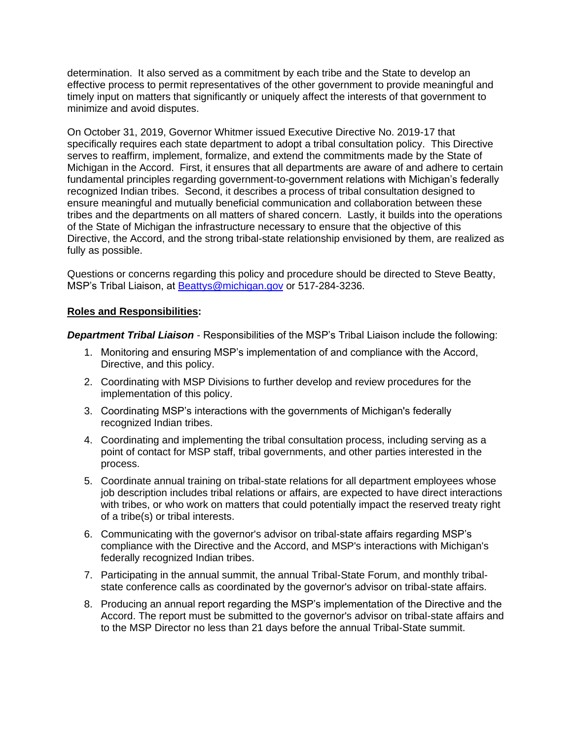determination. It also served as a commitment by each tribe and the State to develop an effective process to permit representatives of the other government to provide meaningful and timely input on matters that significantly or uniquely affect the interests of that government to minimize and avoid disputes.

On October 31, 2019, Governor Whitmer issued Executive Directive No. 2019-17 that specifically requires each state department to adopt a tribal consultation policy. This Directive serves to reaffirm, implement, formalize, and extend the commitments made by the State of Michigan in the Accord. First, it ensures that all departments are aware of and adhere to certain fundamental principles regarding government-to-government relations with Michigan's federally recognized Indian tribes. Second, it describes a process of tribal consultation designed to ensure meaningful and mutually beneficial communication and collaboration between these tribes and the departments on all matters of shared concern. Lastly, it builds into the operations of the State of Michigan the infrastructure necessary to ensure that the objective of this Directive, the Accord, and the strong tribal-state relationship envisioned by them, are realized as fully as possible.

Questions or concerns regarding this policy and procedure should be directed to Steve Beatty, MSP's Tribal Liaison, at [Beattys@michigan.gov](mailto:Beattys@michigan.gov) or 517-284-3236.

#### **Roles and Responsibilities:**

*Department Tribal Liaison* - Responsibilities of the MSP's Tribal Liaison include the following:

- 1. Monitoring and ensuring MSP's implementation of and compliance with the Accord, Directive, and this policy.
- 2. Coordinating with MSP Divisions to further develop and review procedures for the implementation of this policy.
- 3. Coordinating MSP's interactions with the governments of Michigan's federally recognized Indian tribes.
- 4. Coordinating and implementing the tribal consultation process, including serving as a point of contact for MSP staff, tribal governments, and other parties interested in the process.
- 5. Coordinate annual training on tribal-state relations for all department employees whose job description includes tribal relations or affairs, are expected to have direct interactions with tribes, or who work on matters that could potentially impact the reserved treaty right of a tribe(s) or tribal interests.
- 6. Communicating with the governor's advisor on tribal-state affairs regarding MSP's compliance with the Directive and the Accord, and MSP's interactions with Michigan's federally recognized Indian tribes.
- 7. Participating in the annual summit, the annual Tribal-State Forum, and monthly tribalstate conference calls as coordinated by the governor's advisor on tribal-state affairs.
- 8. Producing an annual report regarding the MSP's implementation of the Directive and the Accord. The report must be submitted to the governor's advisor on tribal-state affairs and to the MSP Director no less than 21 days before the annual Tribal-State summit.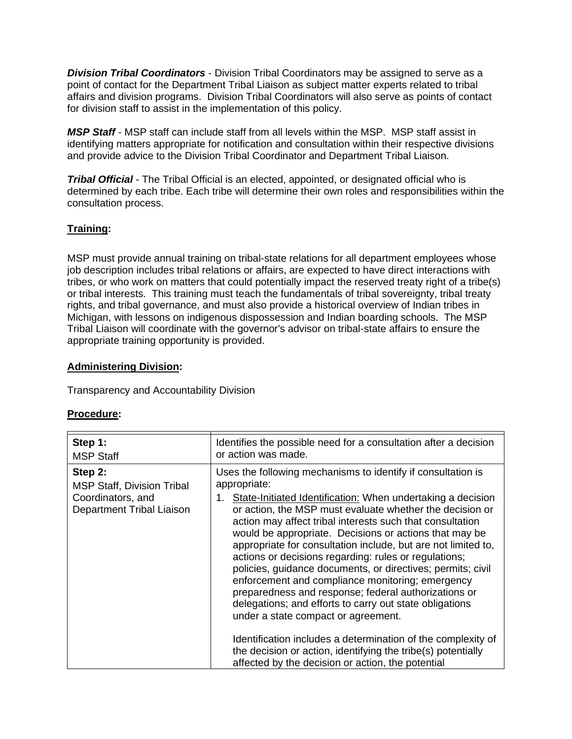*Division Tribal Coordinators* - Division Tribal Coordinators may be assigned to serve as a point of contact for the Department Tribal Liaison as subject matter experts related to tribal affairs and division programs. Division Tribal Coordinators will also serve as points of contact for division staff to assist in the implementation of this policy.

*MSP Staff* - MSP staff can include staff from all levels within the MSP. MSP staff assist in identifying matters appropriate for notification and consultation within their respective divisions and provide advice to the Division Tribal Coordinator and Department Tribal Liaison.

*Tribal Official* - The Tribal Official is an elected, appointed, or designated official who is determined by each tribe. Each tribe will determine their own roles and responsibilities within the consultation process.

#### **Training:**

MSP must provide annual training on tribal-state relations for all department employees whose job description includes tribal relations or affairs, are expected to have direct interactions with tribes, or who work on matters that could potentially impact the reserved treaty right of a tribe(s) or tribal interests. This training must teach the fundamentals of tribal sovereignty, tribal treaty rights, and tribal governance, and must also provide a historical overview of Indian tribes in Michigan, with lessons on indigenous dispossession and Indian boarding schools. The MSP Tribal Liaison will coordinate with the governor's advisor on tribal-state affairs to ensure the appropriate training opportunity is provided.

#### **Administering Division:**

Transparency and Accountability Division

#### **Procedure:**

| Step 1:<br><b>MSP Staff</b>                                                                    | Identifies the possible need for a consultation after a decision<br>or action was made.                                                                                                                                                                                                                                                                                                                                                                                                                                                                                                                                                                                                                                                                                                                                                                                                                                    |
|------------------------------------------------------------------------------------------------|----------------------------------------------------------------------------------------------------------------------------------------------------------------------------------------------------------------------------------------------------------------------------------------------------------------------------------------------------------------------------------------------------------------------------------------------------------------------------------------------------------------------------------------------------------------------------------------------------------------------------------------------------------------------------------------------------------------------------------------------------------------------------------------------------------------------------------------------------------------------------------------------------------------------------|
| Step 2:<br><b>MSP Staff, Division Tribal</b><br>Coordinators, and<br>Department Tribal Liaison | Uses the following mechanisms to identify if consultation is<br>appropriate:<br>State-Initiated Identification: When undertaking a decision<br>or action, the MSP must evaluate whether the decision or<br>action may affect tribal interests such that consultation<br>would be appropriate. Decisions or actions that may be<br>appropriate for consultation include, but are not limited to,<br>actions or decisions regarding: rules or regulations;<br>policies, guidance documents, or directives; permits; civil<br>enforcement and compliance monitoring; emergency<br>preparedness and response; federal authorizations or<br>delegations; and efforts to carry out state obligations<br>under a state compact or agreement.<br>Identification includes a determination of the complexity of<br>the decision or action, identifying the tribe(s) potentially<br>affected by the decision or action, the potential |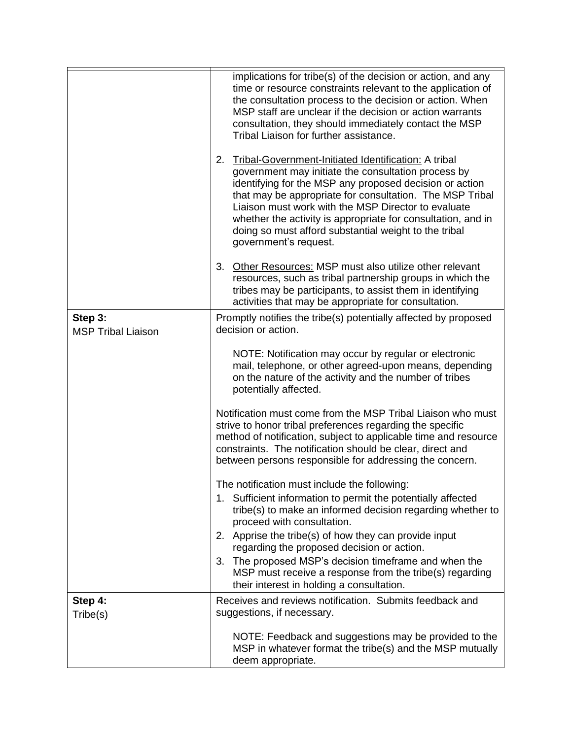|                                      | implications for tribe(s) of the decision or action, and any<br>time or resource constraints relevant to the application of<br>the consultation process to the decision or action. When<br>MSP staff are unclear if the decision or action warrants<br>consultation, they should immediately contact the MSP<br>Tribal Liaison for further assistance.                                                                                            |
|--------------------------------------|---------------------------------------------------------------------------------------------------------------------------------------------------------------------------------------------------------------------------------------------------------------------------------------------------------------------------------------------------------------------------------------------------------------------------------------------------|
|                                      | 2.<br>Tribal-Government-Initiated Identification: A tribal<br>government may initiate the consultation process by<br>identifying for the MSP any proposed decision or action<br>that may be appropriate for consultation. The MSP Tribal<br>Liaison must work with the MSP Director to evaluate<br>whether the activity is appropriate for consultation, and in<br>doing so must afford substantial weight to the tribal<br>government's request. |
|                                      | Other Resources: MSP must also utilize other relevant<br>3.<br>resources, such as tribal partnership groups in which the<br>tribes may be participants, to assist them in identifying<br>activities that may be appropriate for consultation.                                                                                                                                                                                                     |
| Step 3:<br><b>MSP Tribal Liaison</b> | Promptly notifies the tribe(s) potentially affected by proposed<br>decision or action.                                                                                                                                                                                                                                                                                                                                                            |
|                                      | NOTE: Notification may occur by regular or electronic<br>mail, telephone, or other agreed-upon means, depending<br>on the nature of the activity and the number of tribes<br>potentially affected.                                                                                                                                                                                                                                                |
|                                      | Notification must come from the MSP Tribal Liaison who must<br>strive to honor tribal preferences regarding the specific<br>method of notification, subject to applicable time and resource<br>constraints. The notification should be clear, direct and<br>between persons responsible for addressing the concern.                                                                                                                               |
|                                      | The notification must include the following:<br>Sufficient information to permit the potentially affected<br>1.<br>tribe(s) to make an informed decision regarding whether to                                                                                                                                                                                                                                                                     |
|                                      | proceed with consultation.<br>2. Apprise the tribe(s) of how they can provide input                                                                                                                                                                                                                                                                                                                                                               |
|                                      | regarding the proposed decision or action.<br>The proposed MSP's decision timeframe and when the<br>3.<br>MSP must receive a response from the tribe(s) regarding<br>their interest in holding a consultation.                                                                                                                                                                                                                                    |
| Step 4:<br>Tribe(s)                  | Receives and reviews notification. Submits feedback and<br>suggestions, if necessary.                                                                                                                                                                                                                                                                                                                                                             |
|                                      | NOTE: Feedback and suggestions may be provided to the<br>MSP in whatever format the tribe(s) and the MSP mutually<br>deem appropriate.                                                                                                                                                                                                                                                                                                            |